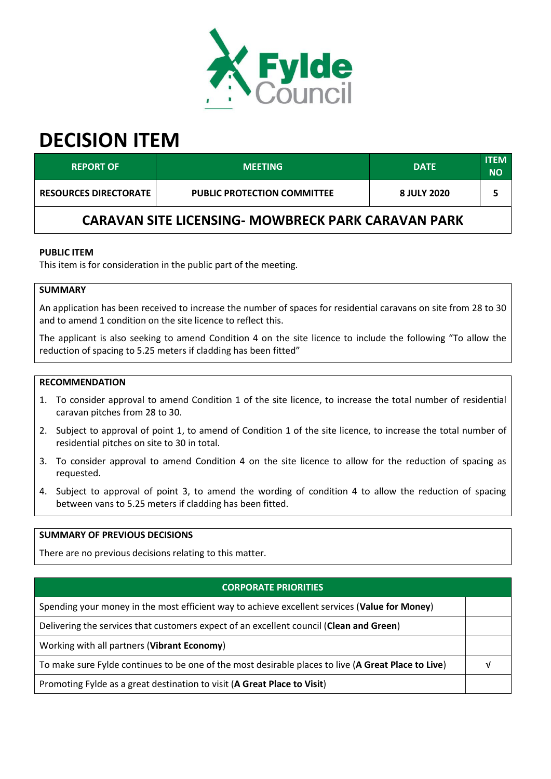

# **DECISION ITEM**

| <b>REPORT OF</b>                                          | <b>MEETING</b>                     | <b>DATE</b> | <b>ITEM</b><br><b>NO</b> |  |  |  |
|-----------------------------------------------------------|------------------------------------|-------------|--------------------------|--|--|--|
| <b>RESOURCES DIRECTORATE</b>                              | <b>PUBLIC PROTECTION COMMITTEE</b> | 8 JULY 2020 |                          |  |  |  |
| <b>CARAVAN SITE LICENSING- MOWBRECK PARK CARAVAN PARK</b> |                                    |             |                          |  |  |  |

# **PUBLIC ITEM**

This item is for consideration in the public part of the meeting.

# **SUMMARY**

An application has been received to increase the number of spaces for residential caravans on site from 28 to 30 and to amend 1 condition on the site licence to reflect this.

The applicant is also seeking to amend Condition 4 on the site licence to include the following "To allow the reduction of spacing to 5.25 meters if cladding has been fitted"

#### **RECOMMENDATION**

- 1. To consider approval to amend Condition 1 of the site licence, to increase the total number of residential caravan pitches from 28 to 30.
- 2. Subject to approval of point 1, to amend of Condition 1 of the site licence, to increase the total number of residential pitches on site to 30 in total.
- 3. To consider approval to amend Condition 4 on the site licence to allow for the reduction of spacing as requested.
- 4. Subject to approval of point 3, to amend the wording of condition 4 to allow the reduction of spacing between vans to 5.25 meters if cladding has been fitted.

# **SUMMARY OF PREVIOUS DECISIONS**

There are no previous decisions relating to this matter.

#### **CORPORATE PRIORITIES**

Spending your money in the most efficient way to achieve excellent services (**Value for Money**)

Delivering the services that customers expect of an excellent council (**Clean and Green**)

Working with all partners (**Vibrant Economy**)

To make sure Fylde continues to be one of the most desirable places to live (**A Great Place to Live**) √

Promoting Fylde as a great destination to visit (**A Great Place to Visit**)